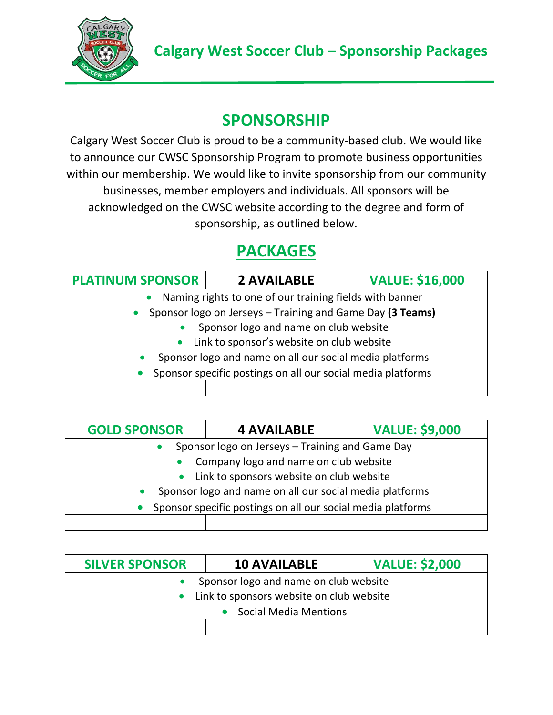

## **SPONSORSHIP**

Calgary West Soccer Club is proud to be a community-based club. We would like to announce our CWSC Sponsorship Program to promote business opportunities within our membership. We would like to invite sponsorship from our community businesses, member employers and individuals. All sponsors will be acknowledged on the CWSC website according to the degree and form of sponsorship, as outlined below.

## **PACKAGES**

| <b>PLATINUM SPONSOR</b>                                              | <b>2 AVAILABLE</b> | <b>VALUE: \$16,000</b> |  |  |
|----------------------------------------------------------------------|--------------------|------------------------|--|--|
| Naming rights to one of our training fields with banner<br>$\bullet$ |                    |                        |  |  |
| Sponsor logo on Jerseys - Training and Game Day (3 Teams)            |                    |                        |  |  |
| Sponsor logo and name on club website                                |                    |                        |  |  |
| Link to sponsor's website on club website                            |                    |                        |  |  |
| Sponsor logo and name on all our social media platforms              |                    |                        |  |  |
| Sponsor specific postings on all our social media platforms          |                    |                        |  |  |
|                                                                      |                    |                        |  |  |

| <b>GOLD SPONSOR</b>                                         | <b>4 AVAILABLE</b> | <b>VALUE: \$9,000</b> |  |  |
|-------------------------------------------------------------|--------------------|-----------------------|--|--|
| Sponsor logo on Jerseys - Training and Game Day             |                    |                       |  |  |
| Company logo and name on club website                       |                    |                       |  |  |
| Link to sponsors website on club website                    |                    |                       |  |  |
| Sponsor logo and name on all our social media platforms     |                    |                       |  |  |
| Sponsor specific postings on all our social media platforms |                    |                       |  |  |
|                                                             |                    |                       |  |  |

| <b>SILVER SPONSOR</b>                    | <b>10 AVAILABLE</b> | <b>VALUE: \$2,000</b> |  |
|------------------------------------------|---------------------|-----------------------|--|
| Sponsor logo and name on club website    |                     |                       |  |
| Link to sponsors website on club website |                     |                       |  |
| <b>Social Media Mentions</b>             |                     |                       |  |
|                                          |                     |                       |  |